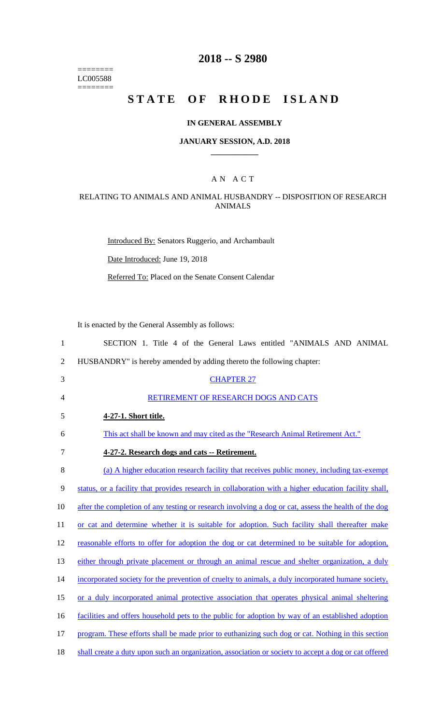======== LC005588  $=$ 

# **2018 -- S 2980**

# STATE OF RHODE ISLAND

## **IN GENERAL ASSEMBLY**

#### **JANUARY SESSION, A.D. 2018 \_\_\_\_\_\_\_\_\_\_\_\_**

### A N A C T

## RELATING TO ANIMALS AND ANIMAL HUSBANDRY -- DISPOSITION OF RESEARCH ANIMALS

Introduced By: Senators Ruggerio, and Archambault

Date Introduced: June 19, 2018

Referred To: Placed on the Senate Consent Calendar

It is enacted by the General Assembly as follows:

| $\mathbf{1}$   | SECTION 1. Title 4 of the General Laws entitled "ANIMALS AND ANIMAL                                   |
|----------------|-------------------------------------------------------------------------------------------------------|
| $\overline{2}$ | HUSBANDRY" is hereby amended by adding thereto the following chapter:                                 |
| 3              | <b>CHAPTER 27</b>                                                                                     |
| 4              | RETIREMENT OF RESEARCH DOGS AND CATS                                                                  |
| 5              | 4-27-1. Short title.                                                                                  |
| 6              | This act shall be known and may cited as the "Research Animal Retirement Act."                        |
| 7              | 4-27-2. Research dogs and cats -- Retirement.                                                         |
| 8              | (a) A higher education research facility that receives public money, including tax-exempt             |
| 9              | status, or a facility that provides research in collaboration with a higher education facility shall, |
| 10             | after the completion of any testing or research involving a dog or cat, assess the health of the dog  |
| 11             | or cat and determine whether it is suitable for adoption. Such facility shall thereafter make         |
| 12             | reasonable efforts to offer for adoption the dog or cat determined to be suitable for adoption,       |
| 13             | either through private placement or through an animal rescue and shelter organization, a duly         |
| 14             | incorporated society for the prevention of cruelty to animals, a duly incorporated humane society,    |
| 15             | or a duly incorporated animal protective association that operates physical animal sheltering         |
| 16             | facilities and offers household pets to the public for adoption by way of an established adoption     |
| 17             | program. These efforts shall be made prior to euthanizing such dog or cat. Nothing in this section    |
| 18             | shall create a duty upon such an organization, association or society to accept a dog or cat offered  |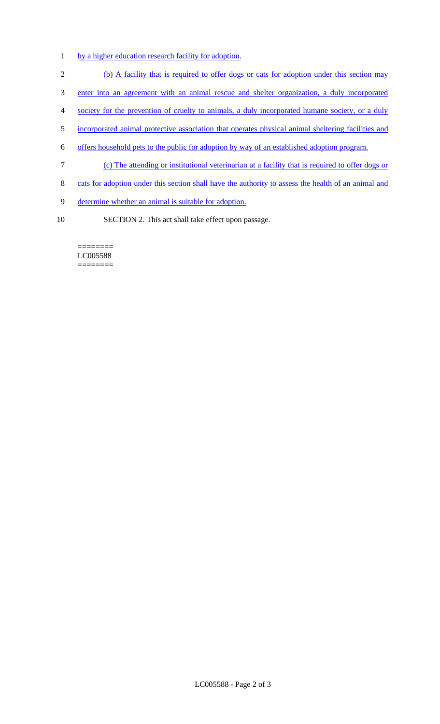- 1 by a higher education research facility for adoption.
- 2 (b) A facility that is required to offer dogs or cats for adoption under this section may
- 3 enter into an agreement with an animal rescue and shelter organization, a duly incorporated
- 4 society for the prevention of cruelty to animals, a duly incorporated humane society, or a duly
- 5 incorporated animal protective association that operates physical animal sheltering facilities and
- 6 offers household pets to the public for adoption by way of an established adoption program.
- 7 (c) The attending or institutional veterinarian at a facility that is required to offer dogs or
- 8 cats for adoption under this section shall have the authority to assess the health of an animal and
- 9 determine whether an animal is suitable for adoption.
- 10 SECTION 2. This act shall take effect upon passage.

======== LC005588 ========